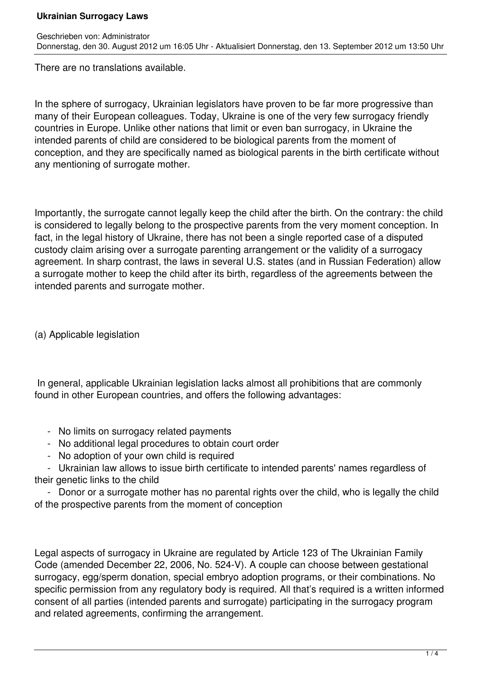There are no translations available.

In the sphere of surrogacy, Ukrainian legislators have proven to be far more progressive than many of their European colleagues. Today, Ukraine is one of the very few surrogacy friendly countries in Europe. Unlike other nations that limit or even ban surrogacy, in Ukraine the intended parents of child are considered to be biological parents from the moment of conception, and they are specifically named as biological parents in the birth certificate without any mentioning of surrogate mother.

Importantly, the surrogate cannot legally keep the child after the birth. On the contrary: the child is considered to legally belong to the prospective parents from the very moment conception. In fact, in the legal history of Ukraine, there has not been a single reported case of a disputed custody claim arising over a surrogate parenting arrangement or the validity of a surrogacy agreement. In sharp contrast, the laws in several U.S. states (and in Russian Federation) allow a surrogate mother to keep the child after its birth, regardless of the agreements between the intended parents and surrogate mother.

(a) Applicable legislation

 In general, applicable Ukrainian legislation lacks almost all prohibitions that are commonly found in other European countries, and offers the following advantages:

- No limits on surrogacy related payments
- No additional legal procedures to obtain court order
- No adoption of your own child is required

 - Ukrainian law allows to issue birth certificate to intended parents' names regardless of their genetic links to the child

 - Donor or a surrogate mother has no parental rights over the child, who is legally the child of the prospective parents from the moment of conception

Legal aspects of surrogacy in Ukraine are regulated by Article 123 of The Ukrainian Family Code (amended December 22, 2006, No. 524-V). A couple can choose between gestational surrogacy, egg/sperm donation, special embryo adoption programs, or their combinations. No specific permission from any requiatory body is required. All that's required is a written informed consent of all parties (intended parents and surrogate) participating in the surrogacy program and related agreements, confirming the arrangement.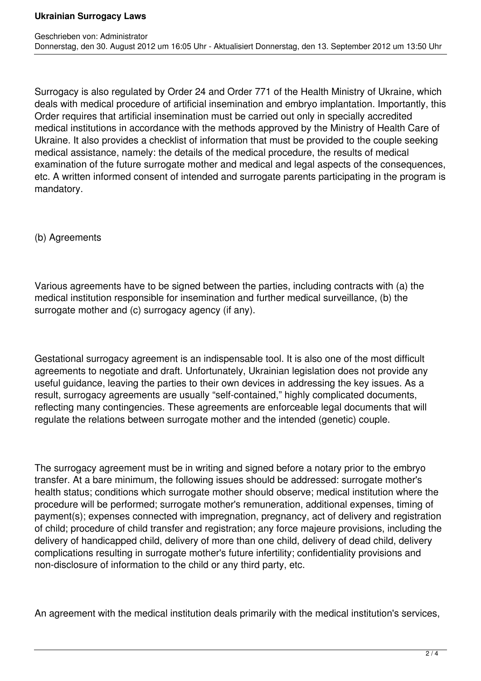Surrogacy is also regulated by Order 24 and Order 771 of the Health Ministry of Ukraine, which deals with medical procedure of artificial insemination and embryo implantation. Importantly, this Order requires that artificial insemination must be carried out only in specially accredited medical institutions in accordance with the methods approved by the Ministry of Health Care of Ukraine. It also provides a checklist of information that must be provided to the couple seeking medical assistance, namely: the details of the medical procedure, the results of medical examination of the future surrogate mother and medical and legal aspects of the consequences, etc. A written informed consent of intended and surrogate parents participating in the program is mandatory.

(b) Agreements

Various agreements have to be signed between the parties, including contracts with (a) the medical institution responsible for insemination and further medical surveillance, (b) the surrogate mother and (c) surrogacy agency (if any).

Gestational surrogacy agreement is an indispensable tool. It is also one of the most difficult agreements to negotiate and draft. Unfortunately, Ukrainian legislation does not provide any useful guidance, leaving the parties to their own devices in addressing the key issues. As a result, surrogacy agreements are usually "self-contained," highly complicated documents, reflecting many contingencies. These agreements are enforceable legal documents that will regulate the relations between surrogate mother and the intended (genetic) couple.

The surrogacy agreement must be in writing and signed before a notary prior to the embryo transfer. At a bare minimum, the following issues should be addressed: surrogate mother's health status; conditions which surrogate mother should observe; medical institution where the procedure will be performed; surrogate mother's remuneration, additional expenses, timing of payment(s); expenses connected with impregnation, pregnancy, act of delivery and registration of child; procedure of child transfer and registration; any force majeure provisions, including the delivery of handicapped child, delivery of more than one child, delivery of dead child, delivery complications resulting in surrogate mother's future infertility; confidentiality provisions and non-disclosure of information to the child or any third party, etc.

An agreement with the medical institution deals primarily with the medical institution's services,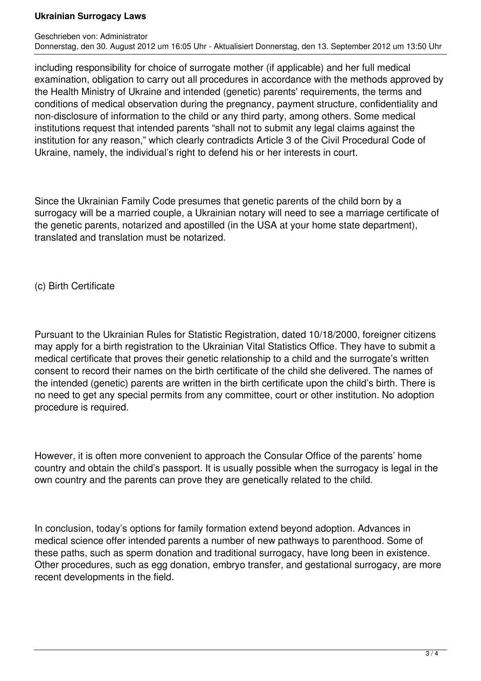Geschrieben von: Administrator Donnerstag, den 30. August 2012 um 16:05 Uhr - Aktualisiert Donnerstag, den 13. September 2012 um 13:50 Uhr

including responsibility for choice of surrogate mother (if applicable) and her full medical examination, obligation to carry out all procedures in accordance with the methods approved by the Health Ministry of Ukraine and intended (genetic) parents' requirements, the terms and conditions of medical observation during the pregnancy, payment structure, confidentiality and non-disclosure of information to the child or any third party, among others. Some medical institutions request that intended parents "shall not to submit any legal claims against the institution for any reason," which clearly contradicts Article 3 of the Civil Procedural Code of Ukraine, namely, the individual's right to defend his or her interests in court.

Since the Ukrainian Family Code presumes that genetic parents of the child born by a surrogacy will be a married couple, a Ukrainian notary will need to see a marriage certificate of the genetic parents, notarized and apostilled (in the USA at your home state department), translated and translation must be notarized.

(c) Birth Certificate

Pursuant to the Ukrainian Rules for Statistic Registration, dated 10/18/2000, foreigner citizens may apply for a birth registration to the Ukrainian Vital Statistics Office. They have to submit a medical certificate that proves their genetic relationship to a child and the surrogate's written consent to record their names on the birth certificate of the child she delivered. The names of the intended (genetic) parents are written in the birth certificate upon the child's birth. There is no need to get any special permits from any committee, court or other institution. No adoption procedure is required.

However, it is often more convenient to approach the Consular Office of the parents' home country and obtain the child's passport. It is usually possible when the surrogacy is legal in the own country and the parents can prove they are genetically related to the child.

In conclusion, today's options for family formation extend beyond adoption. Advances in medical science offer intended parents a number of new pathways to parenthood. Some of these paths, such as sperm donation and traditional surrogacy, have long been in existence. Other procedures, such as egg donation, embryo transfer, and gestational surrogacy, are more recent developments in the field.